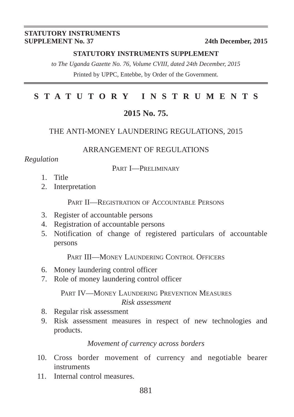#### **STATUTORY INSTRUMENTS SUPPLEMENT No. 37** 24th December, 2015

#### **STATUTORY INSTRUMENTS SUPPLEMENT**

*to The Uganda Gazette No. 76, Volume CVIII, dated 24th December, 2015* Printed by UPPC, Entebbe, by Order of the Government.

# **STATUTORY INSTRUMENTS**

# **2015 No. 75.**

#### THE ANTI-MONEY LAUNDERING REGULATIONS, 2015

#### ARRANGEMENT OF REGULATIONS

#### *Regulation*

#### PART I—PRELIMINARY

- 1. Title
- 2. Interpretation

PART II—REGISTRATION OF ACCOUNTABLE PERSONS

- 3. Register of accountable persons
- 4. Registration of accountable persons
- 5. Notification of change of registered particulars of accountable persons

PART III—MONEY LAUNDERING CONTROL OFFICERS

- 6. Money laundering control officer
- 7. Role of money laundering control officer

PART IV—MONEY LAUNDERING PREVENTION MEASURES *Risk assessment* 

- 8. Regular risk assessment
- 9. Risk assessment measures in respect of new technologies and products.

#### *Movement of currency across borders*

- 10. Cross border movement of currency and negotiable bearer instruments
- 11. Internal control measures.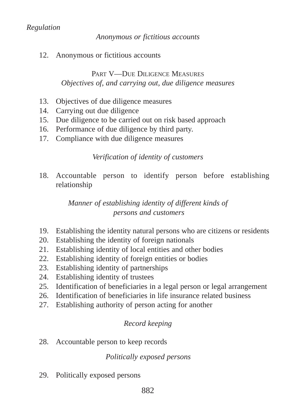## *Regulation*

#### *Anonymous or fictitious accounts*

12. Anonymous or fictitious accounts

## PART V-DUE DILIGENCE MEASURES *Objectives of, and carrying out, due diligence measures*

- 13. Objectives of due diligence measures
- 14. Carrying out due diligence
- 15. Due diligence to be carried out on risk based approach
- 16. Performance of due diligence by third party.
- 17. Compliance with due diligence measures

## *Verification of identity of customers*

18. Accountable person to identify person before establishing relationship

## *Manner of establishing identity of different kinds of persons and customers*

- 19. Establishing the identity natural persons who are citizens or residents
- 20. Establishing the identity of foreign nationals
- 21. Establishing identity of local entities and other bodies
- 22. Establishing identity of foreign entities or bodies
- 23. Establishing identity of partnerships
- 24. Establishing identity of trustees
- 25. Identification of beneficiaries in a legal person or legal arrangement
- 26. Identification of beneficiaries in life insurance related business
- 27. Establishing authority of person acting for another

## *Record keeping*

28. Accountable person to keep records

## *Politically exposed persons*

29. Politically exposed persons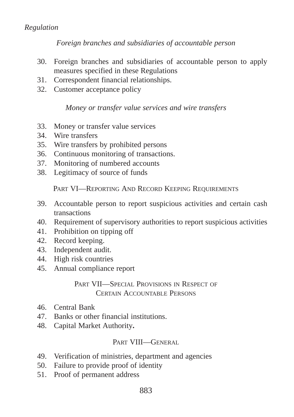#### *Regulation*

*Foreign branches and subsidiaries of accountable person*

- 30. Foreign branches and subsidiaries of accountable person to apply measures specified in these Regulations
- 31. Correspondent financial relationships.
- 32. Customer acceptance policy

#### *Money or transfer value services and wire transfers*

- 33. Money or transfer value services
- 34. Wire transfers
- 35. Wire transfers by prohibited persons
- 36. Continuous monitoring of transactions.
- 37. Monitoring of numbered accounts
- 38. Legitimacy of source of funds

PART VI—REPORTING AND RECORD KEEPING REQUIREMENTS

- 39. Accountable person to report suspicious activities and certain cash transactions
- 40. Requirement of supervisory authorities to report suspicious activities
- 41. Prohibition on tipping off
- 42. Record keeping.
- 43. Independent audit.
- 44. High risk countries
- 45. Annual compliance report

## PART VII—SPECIAL PROVISIONS IN RESPECT OF CERTAIN ACCOUNTABLE PERSONS

- 46. Central Bank
- 47. Banks or other financial institutions.
- 48. Capital Market Authority**.**

#### PART VIII—GENERAL

- 49. Verification of ministries, department and agencies
- 50. Failure to provide proof of identity
- 51. Proof of permanent address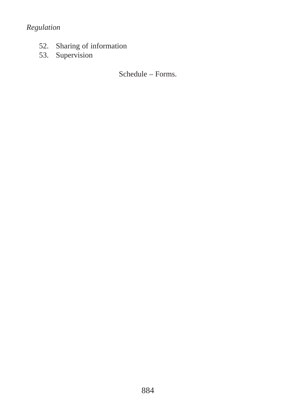# *Regulation*

- 52. Sharing of information
- 53. Supervision

Schedule – Forms.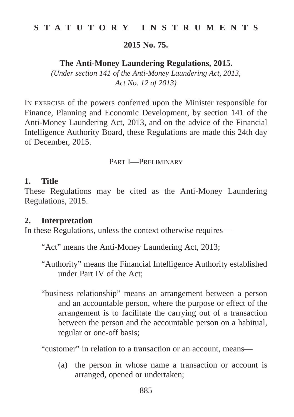## **STATUTORY INSTRUMENTS**

#### **2015 No. 75.**

#### **The Anti-Money Laundering Regulations, 2015.**

*(Under section 141 of the Anti-Money Laundering Act, 2013, Act No. 12 of 2013)*

IN EXERCISE of the powers conferred upon the Minister responsible for Finance, Planning and Economic Development, by section 141 of the Anti-Money Laundering Act, 2013, and on the advice of the Financial Intelligence Authority Board, these Regulations are made this 24th day of December, 2015.

## PART I—PRELIMINARY

#### **1. Title**

These Regulations may be cited as the Anti-Money Laundering Regulations, 2015.

#### **2. Interpretation**

In these Regulations, unless the context otherwise requires—

"Act" means the Anti-Money Laundering Act, 2013;

- "Authority" means the Financial Intelligence Authority established under Part IV of the Act;
- "business relationship" means an arrangement between a person and an accountable person, where the purpose or effect of the arrangement is to facilitate the carrying out of a transaction between the person and the accountable person on a habitual, regular or one-off basis;

"customer" in relation to a transaction or an account, means—

(a) the person in whose name a transaction or account is arranged, opened or undertaken;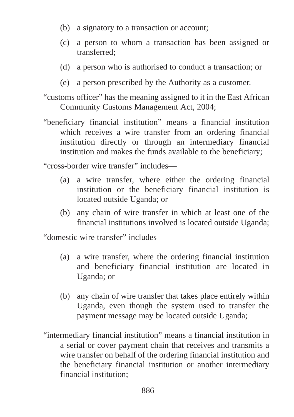- (b) a signatory to a transaction or account;
- (c) a person to whom a transaction has been assigned or transferred;
- (d) a person who is authorised to conduct a transaction; or
- (e) a person prescribed by the Authority as a customer.
- "customs officer" has the meaning assigned to it in the East African Community Customs Management Act, 2004;
- "beneficiary financial institution" means a financial institution which receives a wire transfer from an ordering financial institution directly or through an intermediary financial institution and makes the funds available to the beneficiary;
- "cross-border wire transfer" includes—
	- (a) a wire transfer, where either the ordering financial institution or the beneficiary financial institution is located outside Uganda; or
	- (b) any chain of wire transfer in which at least one of the financial institutions involved is located outside Uganda;

"domestic wire transfer" includes—

- (a) a wire transfer, where the ordering financial institution and beneficiary financial institution are located in Uganda; or
- (b) any chain of wire transfer that takes place entirely within Uganda, even though the system used to transfer the payment message may be located outside Uganda;
- "intermediary financial institution" means a financial institution in a serial or cover payment chain that receives and transmits a wire transfer on behalf of the ordering financial institution and the beneficiary financial institution or another intermediary financial institution;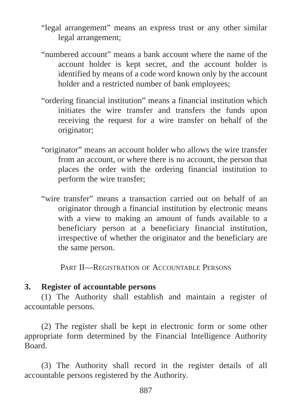"legal arrangement" means an express trust or any other similar legal arrangement;

- "numbered account" means a bank account where the name of the account holder is kept secret, and the account holder is identified by means of a code word known only by the account holder and a restricted number of bank employees;
- "ordering financial institution" means a financial institution which initiates the wire transfer and transfers the funds upon receiving the request for a wire transfer on behalf of the originator;
- "originator" means an account holder who allows the wire transfer from an account, or where there is no account, the person that places the order with the ordering financial institution to perform the wire transfer;
- "wire transfer" means a transaction carried out on behalf of an originator through a financial institution by electronic means with a view to making an amount of funds available to a beneficiary person at a beneficiary financial institution, irrespective of whether the originator and the beneficiary are the same person.

PART II—REGISTRATION OF ACCOUNTABLE PERSONS

# **3. Register of accountable persons**

(1) The Authority shall establish and maintain a register of accountable persons.

(2) The register shall be kept in electronic form or some other appropriate form determined by the Financial Intelligence Authority Board.

(3) The Authority shall record in the register details of all accountable persons registered by the Authority.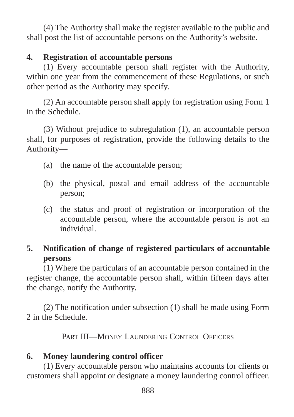(4) The Authority shall make the register available to the public and shall post the list of accountable persons on the Authority's website.

# **4. Registration of accountable persons**

(1) Every accountable person shall register with the Authority, within one year from the commencement of these Regulations, or such other period as the Authority may specify.

(2) An accountable person shall apply for registration using Form 1 in the Schedule.

(3) Without prejudice to subregulation (1), an accountable person shall, for purposes of registration, provide the following details to the Authority—

- (a) the name of the accountable person;
- (b) the physical, postal and email address of the accountable person;
- (c) the status and proof of registration or incorporation of the accountable person, where the accountable person is not an individual.

# **5. Notification of change of registered particulars of accountable persons**

(1) Where the particulars of an accountable person contained in the register change, the accountable person shall, within fifteen days after the change, notify the Authority.

(2) The notification under subsection (1) shall be made using Form 2 in the Schedule.

PART III—MONEY LAUNDERING CONTROL OFFICERS

# **6. Money laundering control officer**

(1) Every accountable person who maintains accounts for clients or customers shall appoint or designate a money laundering control officer.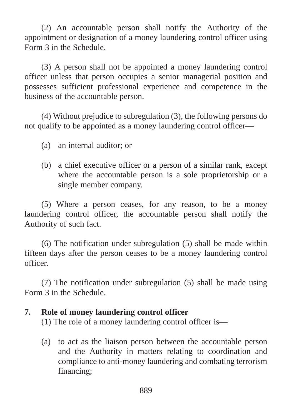(2) An accountable person shall notify the Authority of the appointment or designation of a money laundering control officer using Form 3 in the Schedule.

(3) A person shall not be appointed a money laundering control officer unless that person occupies a senior managerial position and possesses sufficient professional experience and competence in the business of the accountable person.

(4) Without prejudice to subregulation (3), the following persons do not qualify to be appointed as a money laundering control officer—

- (a) an internal auditor; or
- (b) a chief executive officer or a person of a similar rank, except where the accountable person is a sole proprietorship or a single member company.

(5) Where a person ceases, for any reason, to be a money laundering control officer, the accountable person shall notify the Authority of such fact.

(6) The notification under subregulation (5) shall be made within fifteen days after the person ceases to be a money laundering control officer.

(7) The notification under subregulation (5) shall be made using Form 3 in the Schedule.

#### **7. Role of money laundering control officer**

(1) The role of a money laundering control officer is—

(a) to act as the liaison person between the accountable person and the Authority in matters relating to coordination and compliance to anti-money laundering and combating terrorism financing;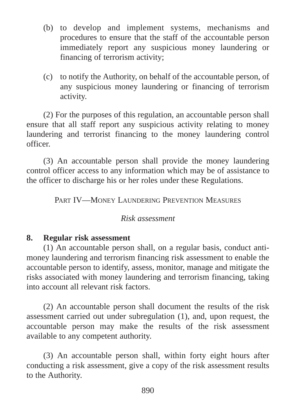- (b) to develop and implement systems, mechanisms and procedures to ensure that the staff of the accountable person immediately report any suspicious money laundering or financing of terrorism activity;
- (c) to notify the Authority, on behalf of the accountable person, of any suspicious money laundering or financing of terrorism activity.

(2) For the purposes of this regulation, an accountable person shall ensure that all staff report any suspicious activity relating to money laundering and terrorist financing to the money laundering control officer.

(3) An accountable person shall provide the money laundering control officer access to any information which may be of assistance to the officer to discharge his or her roles under these Regulations.

PART IV—MONEY LAUNDERING PREVENTION MEASURES

#### *Risk assessment*

## **8. Regular risk assessment**

(1) An accountable person shall, on a regular basis, conduct antimoney laundering and terrorism financing risk assessment to enable the accountable person to identify, assess, monitor, manage and mitigate the risks associated with money laundering and terrorism financing, taking into account all relevant risk factors.

(2) An accountable person shall document the results of the risk assessment carried out under subregulation (1), and, upon request, the accountable person may make the results of the risk assessment available to any competent authority.

(3) An accountable person shall, within forty eight hours after conducting a risk assessment, give a copy of the risk assessment results to the Authority.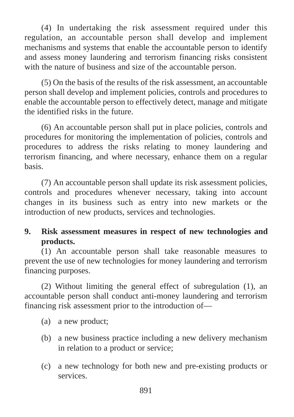(4) In undertaking the risk assessment required under this regulation, an accountable person shall develop and implement mechanisms and systems that enable the accountable person to identify and assess money laundering and terrorism financing risks consistent with the nature of business and size of the accountable person.

(5) On the basis of the results of the risk assessment, an accountable person shall develop and implement policies, controls and procedures to enable the accountable person to effectively detect, manage and mitigate the identified risks in the future.

(6) An accountable person shall put in place policies, controls and procedures for monitoring the implementation of policies, controls and procedures to address the risks relating to money laundering and terrorism financing, and where necessary, enhance them on a regular basis.

(7) An accountable person shall update its risk assessment policies, controls and procedures whenever necessary, taking into account changes in its business such as entry into new markets or the introduction of new products, services and technologies.

# **9. Risk assessment measures in respect of new technologies and products.**

(1) An accountable person shall take reasonable measures to prevent the use of new technologies for money laundering and terrorism financing purposes.

(2) Without limiting the general effect of subregulation (1), an accountable person shall conduct anti-money laundering and terrorism financing risk assessment prior to the introduction of—

- (a) a new product;
- (b) a new business practice including a new delivery mechanism in relation to a product or service;
- (c) a new technology for both new and pre-existing products or services.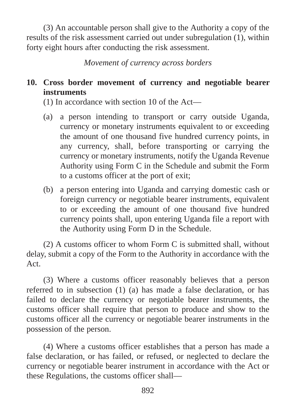(3) An accountable person shall give to the Authority a copy of the results of the risk assessment carried out under subregulation (1), within forty eight hours after conducting the risk assessment.

*Movement of currency across borders*

# **10. Cross border movement of currency and negotiable bearer instruments**

(1) In accordance with section 10 of the Act—

- (a) a person intending to transport or carry outside Uganda, currency or monetary instruments equivalent to or exceeding the amount of one thousand five hundred currency points, in any currency, shall, before transporting or carrying the currency or monetary instruments, notify the Uganda Revenue Authority using Form C in the Schedule and submit the Form to a customs officer at the port of exit;
- (b) a person entering into Uganda and carrying domestic cash or foreign currency or negotiable bearer instruments, equivalent to or exceeding the amount of one thousand five hundred currency points shall, upon entering Uganda file a report with the Authority using Form D in the Schedule.

(2) A customs officer to whom Form C is submitted shall, without delay, submit a copy of the Form to the Authority in accordance with the Act.

(3) Where a customs officer reasonably believes that a person referred to in subsection (1) (a) has made a false declaration, or has failed to declare the currency or negotiable bearer instruments, the customs officer shall require that person to produce and show to the customs officer all the currency or negotiable bearer instruments in the possession of the person.

(4) Where a customs officer establishes that a person has made a false declaration, or has failed, or refused, or neglected to declare the currency or negotiable bearer instrument in accordance with the Act or these Regulations, the customs officer shall—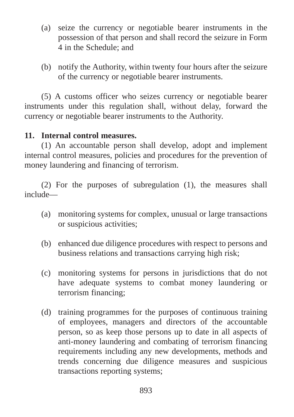- (a) seize the currency or negotiable bearer instruments in the possession of that person and shall record the seizure in Form 4 in the Schedule; and
- (b) notify the Authority, within twenty four hours after the seizure of the currency or negotiable bearer instruments.

(5) A customs officer who seizes currency or negotiable bearer instruments under this regulation shall, without delay, forward the currency or negotiable bearer instruments to the Authority.

# **11. Internal control measures.**

(1) An accountable person shall develop, adopt and implement internal control measures, policies and procedures for the prevention of money laundering and financing of terrorism.

(2) For the purposes of subregulation (1), the measures shall include—

- (a) monitoring systems for complex, unusual or large transactions or suspicious activities;
- (b) enhanced due diligence procedures with respect to persons and business relations and transactions carrying high risk;
- (c) monitoring systems for persons in jurisdictions that do not have adequate systems to combat money laundering or terrorism financing;
- (d) training programmes for the purposes of continuous training of employees, managers and directors of the accountable person, so as keep those persons up to date in all aspects of anti-money laundering and combating of terrorism financing requirements including any new developments, methods and trends concerning due diligence measures and suspicious transactions reporting systems;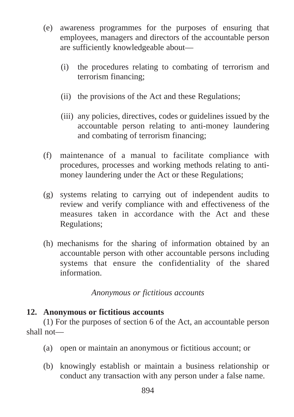- (e) awareness programmes for the purposes of ensuring that employees, managers and directors of the accountable person are sufficiently knowledgeable about—
	- (i) the procedures relating to combating of terrorism and terrorism financing;
	- (ii) the provisions of the Act and these Regulations;
	- (iii) any policies, directives, codes or guidelines issued by the accountable person relating to anti-money laundering and combating of terrorism financing;
- (f) maintenance of a manual to facilitate compliance with procedures, processes and working methods relating to antimoney laundering under the Act or these Regulations;
- (g) systems relating to carrying out of independent audits to review and verify compliance with and effectiveness of the measures taken in accordance with the Act and these Regulations;
- (h) mechanisms for the sharing of information obtained by an accountable person with other accountable persons including systems that ensure the confidentiality of the shared information.

# *Anonymous or fictitious accounts*

# **12. Anonymous or fictitious accounts**

(1) For the purposes of section 6 of the Act, an accountable person shall not—

- (a) open or maintain an anonymous or fictitious account; or
- (b) knowingly establish or maintain a business relationship or conduct any transaction with any person under a false name.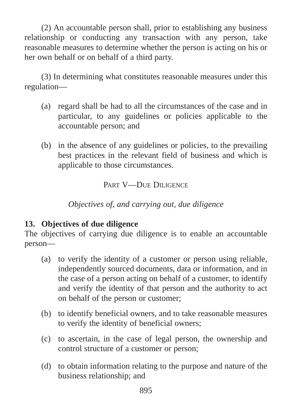(2) An accountable person shall, prior to establishing any business relationship or conducting any transaction with any person, take reasonable measures to determine whether the person is acting on his or her own behalf or on behalf of a third party.

(3) In determining what constitutes reasonable measures under this regulation—

- (a) regard shall be had to all the circumstances of the case and in particular, to any guidelines or policies applicable to the accountable person; and
- (b) in the absence of any guidelines or policies, to the prevailing best practices in the relevant field of business and which is applicable to those circumstances.

PART V-DUE DILIGENCE

*Objectives of, and carrying out, due diligence* 

# **13. Objectives of due diligence**

The objectives of carrying due diligence is to enable an accountable person—

- (a) to verify the identity of a customer or person using reliable, independently sourced documents, data or information, and in the case of a person acting on behalf of a customer, to identify and verify the identity of that person and the authority to act on behalf of the person or customer;
- (b) to identify beneficial owners, and to take reasonable measures to verify the identity of beneficial owners;
- (c) to ascertain, in the case of legal person, the ownership and control structure of a customer or person;
- (d) to obtain information relating to the purpose and nature of the business relationship; and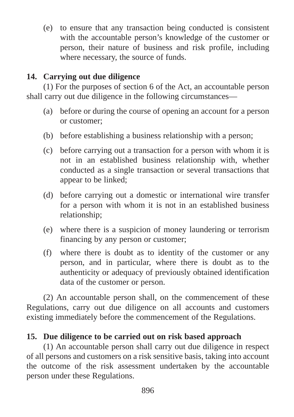(e) to ensure that any transaction being conducted is consistent with the accountable person's knowledge of the customer or person, their nature of business and risk profile, including where necessary, the source of funds.

# **14. Carrying out due diligence**

(1) For the purposes of section 6 of the Act, an accountable person shall carry out due diligence in the following circumstances—

- (a) before or during the course of opening an account for a person or customer;
- (b) before establishing a business relationship with a person;
- (c) before carrying out a transaction for a person with whom it is not in an established business relationship with, whether conducted as a single transaction or several transactions that appear to be linked;
- (d) before carrying out a domestic or international wire transfer for a person with whom it is not in an established business relationship;
- (e) where there is a suspicion of money laundering or terrorism financing by any person or customer;
- (f) where there is doubt as to identity of the customer or any person, and in particular, where there is doubt as to the authenticity or adequacy of previously obtained identification data of the customer or person.

(2) An accountable person shall, on the commencement of these Regulations, carry out due diligence on all accounts and customers existing immediately before the commencement of the Regulations.

# **15. Due diligence to be carried out on risk based approach**

(1) An accountable person shall carry out due diligence in respect of all persons and customers on a risk sensitive basis, taking into account the outcome of the risk assessment undertaken by the accountable person under these Regulations.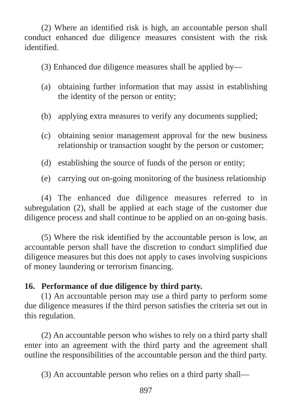(2) Where an identified risk is high, an accountable person shall conduct enhanced due diligence measures consistent with the risk identified.

(3) Enhanced due diligence measures shall be applied by—

- (a) obtaining further information that may assist in establishing the identity of the person or entity;
- (b) applying extra measures to verify any documents supplied;
- (c) obtaining senior management approval for the new business relationship or transaction sought by the person or customer;
- (d) establishing the source of funds of the person or entity;
- (e) carrying out on-going monitoring of the business relationship

(4) The enhanced due diligence measures referred to in subregulation (2), shall be applied at each stage of the customer due diligence process and shall continue to be applied on an on-going basis.

(5) Where the risk identified by the accountable person is low, an accountable person shall have the discretion to conduct simplified due diligence measures but this does not apply to cases involving suspicions of money laundering or terrorism financing.

# **16. Performance of due diligence by third party.**

(1) An accountable person may use a third party to perform some due diligence measures if the third person satisfies the criteria set out in this regulation.

(2) An accountable person who wishes to rely on a third party shall enter into an agreement with the third party and the agreement shall outline the responsibilities of the accountable person and the third party.

(3) An accountable person who relies on a third party shall—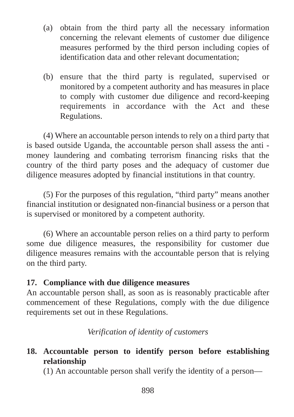- (a) obtain from the third party all the necessary information concerning the relevant elements of customer due diligence measures performed by the third person including copies of identification data and other relevant documentation;
- (b) ensure that the third party is regulated, supervised or monitored by a competent authority and has measures in place to comply with customer due diligence and record-keeping requirements in accordance with the Act and these Regulations.

(4) Where an accountable person intends to rely on a third party that is based outside Uganda, the accountable person shall assess the anti money laundering and combating terrorism financing risks that the country of the third party poses and the adequacy of customer due diligence measures adopted by financial institutions in that country.

(5) For the purposes of this regulation, "third party" means another financial institution or designated non-financial business or a person that is supervised or monitored by a competent authority.

(6) Where an accountable person relies on a third party to perform some due diligence measures, the responsibility for customer due diligence measures remains with the accountable person that is relying on the third party.

# **17. Compliance with due diligence measures**

An accountable person shall, as soon as is reasonably practicable after commencement of these Regulations, comply with the due diligence requirements set out in these Regulations.

*Verification of identity of customers*

# **18. Accountable person to identify person before establishing relationship**

(1) An accountable person shall verify the identity of a person—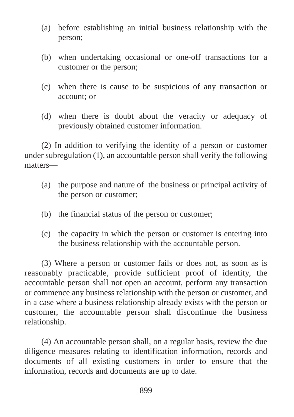- (a) before establishing an initial business relationship with the person;
- (b) when undertaking occasional or one-off transactions for a customer or the person;
- (c) when there is cause to be suspicious of any transaction or account; or
- (d) when there is doubt about the veracity or adequacy of previously obtained customer information.

(2) In addition to verifying the identity of a person or customer under subregulation (1), an accountable person shall verify the following matters—

- (a) the purpose and nature of the business or principal activity of the person or customer;
- (b) the financial status of the person or customer;
- (c) the capacity in which the person or customer is entering into the business relationship with the accountable person.

(3) Where a person or customer fails or does not, as soon as is reasonably practicable, provide sufficient proof of identity, the accountable person shall not open an account, perform any transaction or commence any business relationship with the person or customer, and in a case where a business relationship already exists with the person or customer, the accountable person shall discontinue the business relationship.

(4) An accountable person shall, on a regular basis, review the due diligence measures relating to identification information, records and documents of all existing customers in order to ensure that the information, records and documents are up to date.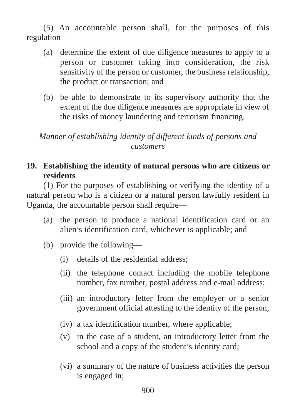(5) An accountable person shall, for the purposes of this regulation—

- (a) determine the extent of due diligence measures to apply to a person or customer taking into consideration, the risk sensitivity of the person or customer, the business relationship, the product or transaction; and
- (b) be able to demonstrate to its supervisory authority that the extent of the due diligence measures are appropriate in view of the risks of money laundering and terrorism financing.

*Manner of establishing identity of different kinds of persons and customers*

# **19. Establishing the identity of natural persons who are citizens or residents**

(1) For the purposes of establishing or verifying the identity of a natural person who is a citizen or a natural person lawfully resident in Uganda, the accountable person shall require—

- (a) the person to produce a national identification card or an alien's identification card, whichever is applicable; and
- (b) provide the following—
	- (i) details of the residential address;
	- (ii) the telephone contact including the mobile telephone number, fax number, postal address and e-mail address;
	- (iii) an introductory letter from the employer or a senior government official attesting to the identity of the person;
	- (iv) a tax identification number, where applicable;
	- (v) in the case of a student, an introductory letter from the school and a copy of the student's identity card;
	- (vi) a summary of the nature of business activities the person is engaged in;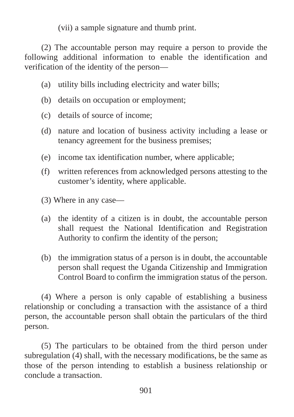(vii) a sample signature and thumb print.

(2) The accountable person may require a person to provide the following additional information to enable the identification and verification of the identity of the person—

- (a) utility bills including electricity and water bills;
- (b) details on occupation or employment;
- (c) details of source of income;
- (d) nature and location of business activity including a lease or tenancy agreement for the business premises;
- (e) income tax identification number, where applicable;
- (f) written references from acknowledged persons attesting to the customer's identity, where applicable.
- (3) Where in any case—
- (a) the identity of a citizen is in doubt, the accountable person shall request the National Identification and Registration Authority to confirm the identity of the person;
- (b) the immigration status of a person is in doubt, the accountable person shall request the Uganda Citizenship and Immigration Control Board to confirm the immigration status of the person.

(4) Where a person is only capable of establishing a business relationship or concluding a transaction with the assistance of a third person, the accountable person shall obtain the particulars of the third person.

(5) The particulars to be obtained from the third person under subregulation (4) shall, with the necessary modifications, be the same as those of the person intending to establish a business relationship or conclude a transaction.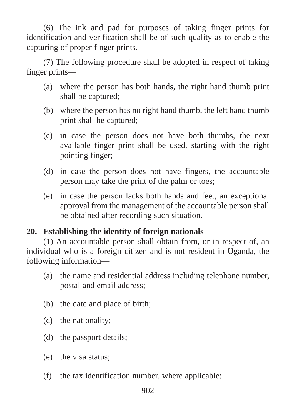(6) The ink and pad for purposes of taking finger prints for identification and verification shall be of such quality as to enable the capturing of proper finger prints.

(7) The following procedure shall be adopted in respect of taking finger prints—

- (a) where the person has both hands, the right hand thumb print shall be captured;
- (b) where the person has no right hand thumb, the left hand thumb print shall be captured;
- (c) in case the person does not have both thumbs, the next available finger print shall be used, starting with the right pointing finger;
- (d) in case the person does not have fingers, the accountable person may take the print of the palm or toes;
- (e) in case the person lacks both hands and feet, an exceptional approval from the management of the accountable person shall be obtained after recording such situation.

# **20. Establishing the identity of foreign nationals**

(1) An accountable person shall obtain from, or in respect of, an individual who is a foreign citizen and is not resident in Uganda, the following information—

- (a) the name and residential address including telephone number, postal and email address;
- (b) the date and place of birth;
- (c) the nationality;
- (d) the passport details;
- (e) the visa status;
- (f) the tax identification number, where applicable;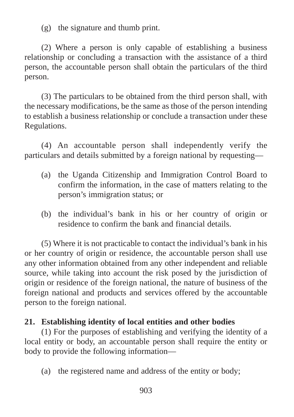(g) the signature and thumb print.

(2) Where a person is only capable of establishing a business relationship or concluding a transaction with the assistance of a third person, the accountable person shall obtain the particulars of the third person.

(3) The particulars to be obtained from the third person shall, with the necessary modifications, be the same as those of the person intending to establish a business relationship or conclude a transaction under these Regulations.

(4) An accountable person shall independently verify the particulars and details submitted by a foreign national by requesting—

- (a) the Uganda Citizenship and Immigration Control Board to confirm the information, in the case of matters relating to the person's immigration status; or
- (b) the individual's bank in his or her country of origin or residence to confirm the bank and financial details.

(5) Where it is not practicable to contact the individual's bank in his or her country of origin or residence, the accountable person shall use any other information obtained from any other independent and reliable source, while taking into account the risk posed by the jurisdiction of origin or residence of the foreign national, the nature of business of the foreign national and products and services offered by the accountable person to the foreign national.

# **21. Establishing identity of local entities and other bodies**

(1) For the purposes of establishing and verifying the identity of a local entity or body, an accountable person shall require the entity or body to provide the following information—

(a) the registered name and address of the entity or body;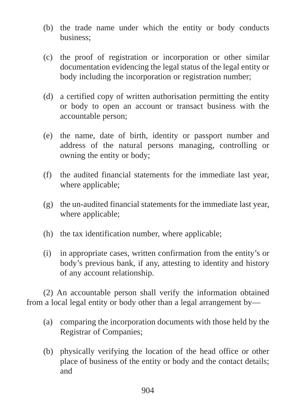- (b) the trade name under which the entity or body conducts business;
- (c) the proof of registration or incorporation or other similar documentation evidencing the legal status of the legal entity or body including the incorporation or registration number;
- (d) a certified copy of written authorisation permitting the entity or body to open an account or transact business with the accountable person;
- (e) the name, date of birth, identity or passport number and address of the natural persons managing, controlling or owning the entity or body;
- (f) the audited financial statements for the immediate last year, where applicable;
- (g) the un-audited financial statements for the immediate last year, where applicable;
- (h) the tax identification number, where applicable;
- (i) in appropriate cases, written confirmation from the entity's or body's previous bank, if any, attesting to identity and history of any account relationship.

(2) An accountable person shall verify the information obtained from a local legal entity or body other than a legal arrangement by—

- (a) comparing the incorporation documents with those held by the Registrar of Companies;
- (b) physically verifying the location of the head office or other place of business of the entity or body and the contact details; and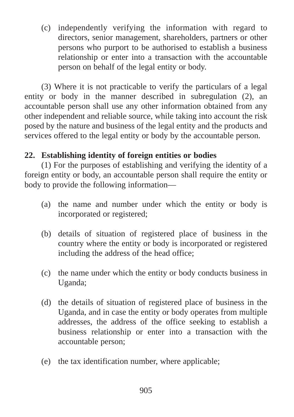(c) independently verifying the information with regard to directors, senior management, shareholders, partners or other persons who purport to be authorised to establish a business relationship or enter into a transaction with the accountable person on behalf of the legal entity or body.

(3) Where it is not practicable to verify the particulars of a legal entity or body in the manner described in subregulation (2), an accountable person shall use any other information obtained from any other independent and reliable source, while taking into account the risk posed by the nature and business of the legal entity and the products and services offered to the legal entity or body by the accountable person.

# **22. Establishing identity of foreign entities or bodies**

(1) For the purposes of establishing and verifying the identity of a foreign entity or body, an accountable person shall require the entity or body to provide the following information—

- (a) the name and number under which the entity or body is incorporated or registered;
- (b) details of situation of registered place of business in the country where the entity or body is incorporated or registered including the address of the head office;
- (c) the name under which the entity or body conducts business in Uganda;
- (d) the details of situation of registered place of business in the Uganda, and in case the entity or body operates from multiple addresses, the address of the office seeking to establish a business relationship or enter into a transaction with the accountable person;
- (e) the tax identification number, where applicable;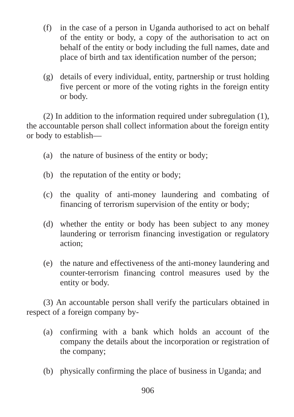- (f) in the case of a person in Uganda authorised to act on behalf of the entity or body, a copy of the authorisation to act on behalf of the entity or body including the full names, date and place of birth and tax identification number of the person;
- (g) details of every individual, entity, partnership or trust holding five percent or more of the voting rights in the foreign entity or body.

(2) In addition to the information required under subregulation (1), the accountable person shall collect information about the foreign entity or body to establish—

- (a) the nature of business of the entity or body;
- (b) the reputation of the entity or body;
- (c) the quality of anti-money laundering and combating of financing of terrorism supervision of the entity or body;
- (d) whether the entity or body has been subject to any money laundering or terrorism financing investigation or regulatory action;
- (e) the nature and effectiveness of the anti-money laundering and counter-terrorism financing control measures used by the entity or body.

(3) An accountable person shall verify the particulars obtained in respect of a foreign company by-

- (a) confirming with a bank which holds an account of the company the details about the incorporation or registration of the company;
- (b) physically confirming the place of business in Uganda; and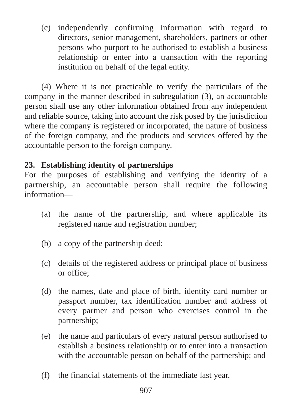(c) independently confirming information with regard to directors, senior management, shareholders, partners or other persons who purport to be authorised to establish a business relationship or enter into a transaction with the reporting institution on behalf of the legal entity.

(4) Where it is not practicable to verify the particulars of the company in the manner described in subregulation (3), an accountable person shall use any other information obtained from any independent and reliable source, taking into account the risk posed by the jurisdiction where the company is registered or incorporated, the nature of business of the foreign company, and the products and services offered by the accountable person to the foreign company.

# **23. Establishing identity of partnerships**

For the purposes of establishing and verifying the identity of a partnership, an accountable person shall require the following information—

- (a) the name of the partnership, and where applicable its registered name and registration number;
- (b) a copy of the partnership deed;
- (c) details of the registered address or principal place of business or office;
- (d) the names, date and place of birth, identity card number or passport number, tax identification number and address of every partner and person who exercises control in the partnership;
- (e) the name and particulars of every natural person authorised to establish a business relationship or to enter into a transaction with the accountable person on behalf of the partnership; and
- (f) the financial statements of the immediate last year.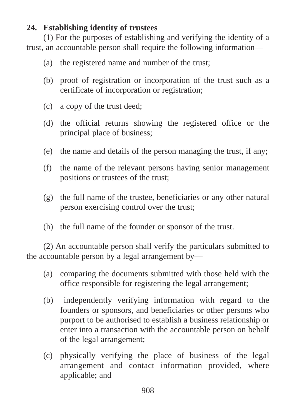# **24. Establishing identity of trustees**

(1) For the purposes of establishing and verifying the identity of a trust, an accountable person shall require the following information—

- (a) the registered name and number of the trust;
- (b) proof of registration or incorporation of the trust such as a certificate of incorporation or registration;
- (c) a copy of the trust deed;
- (d) the official returns showing the registered office or the principal place of business;
- (e) the name and details of the person managing the trust, if any;
- (f) the name of the relevant persons having senior management positions or trustees of the trust;
- (g) the full name of the trustee, beneficiaries or any other natural person exercising control over the trust;
- (h) the full name of the founder or sponsor of the trust.

(2) An accountable person shall verify the particulars submitted to the accountable person by a legal arrangement by—

- (a) comparing the documents submitted with those held with the office responsible for registering the legal arrangement;
- (b) independently verifying information with regard to the founders or sponsors, and beneficiaries or other persons who purport to be authorised to establish a business relationship or enter into a transaction with the accountable person on behalf of the legal arrangement;
- (c) physically verifying the place of business of the legal arrangement and contact information provided, where applicable; and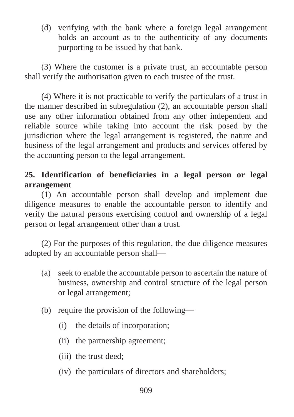(d) verifying with the bank where a foreign legal arrangement holds an account as to the authenticity of any documents purporting to be issued by that bank.

(3) Where the customer is a private trust, an accountable person shall verify the authorisation given to each trustee of the trust.

(4) Where it is not practicable to verify the particulars of a trust in the manner described in subregulation (2), an accountable person shall use any other information obtained from any other independent and reliable source while taking into account the risk posed by the jurisdiction where the legal arrangement is registered, the nature and business of the legal arrangement and products and services offered by the accounting person to the legal arrangement.

# **25. Identification of beneficiaries in a legal person or legal arrangement**

(1) An accountable person shall develop and implement due diligence measures to enable the accountable person to identify and verify the natural persons exercising control and ownership of a legal person or legal arrangement other than a trust.

(2) For the purposes of this regulation, the due diligence measures adopted by an accountable person shall—

- (a) seek to enable the accountable person to ascertain the nature of business, ownership and control structure of the legal person or legal arrangement;
- (b) require the provision of the following—
	- (i) the details of incorporation;
	- (ii) the partnership agreement;
	- (iii) the trust deed;
	- (iv) the particulars of directors and shareholders;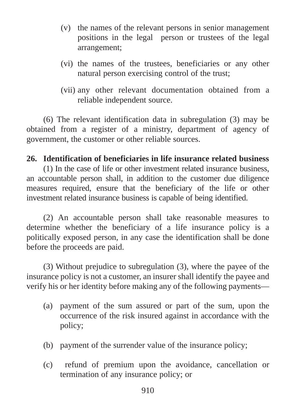- (v) the names of the relevant persons in senior management positions in the legal person or trustees of the legal arrangement;
- (vi) the names of the trustees, beneficiaries or any other natural person exercising control of the trust;
- (vii) any other relevant documentation obtained from a reliable independent source.

(6) The relevant identification data in subregulation (3) may be obtained from a register of a ministry, department of agency of government, the customer or other reliable sources.

#### **26. Identification of beneficiaries in life insurance related business**

(1) In the case of life or other investment related insurance business, an accountable person shall, in addition to the customer due diligence measures required, ensure that the beneficiary of the life or other investment related insurance business is capable of being identified.

(2) An accountable person shall take reasonable measures to determine whether the beneficiary of a life insurance policy is a politically exposed person, in any case the identification shall be done before the proceeds are paid.

(3) Without prejudice to subregulation (3), where the payee of the insurance policy is not a customer, an insurer shall identify the payee and verify his or her identity before making any of the following payments—

- (a) payment of the sum assured or part of the sum, upon the occurrence of the risk insured against in accordance with the policy;
- (b) payment of the surrender value of the insurance policy;
- (c) refund of premium upon the avoidance, cancellation or termination of any insurance policy; or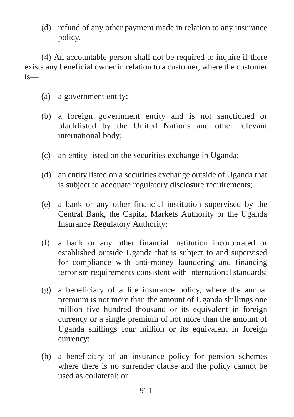(d) refund of any other payment made in relation to any insurance policy.

(4) An accountable person shall not be required to inquire if there exists any beneficial owner in relation to a customer, where the customer is—

- (a) a government entity;
- (b) a foreign government entity and is not sanctioned or blacklisted by the United Nations and other relevant international body;
- (c) an entity listed on the securities exchange in Uganda;
- (d) an entity listed on a securities exchange outside of Uganda that is subject to adequate regulatory disclosure requirements;
- (e) a bank or any other financial institution supervised by the Central Bank, the Capital Markets Authority or the Uganda Insurance Regulatory Authority;
- (f) a bank or any other financial institution incorporated or established outside Uganda that is subject to and supervised for compliance with anti-money laundering and financing terrorism requirements consistent with international standards;
- (g) a beneficiary of a life insurance policy, where the annual premium is not more than the amount of Uganda shillings one million five hundred thousand or its equivalent in foreign currency or a single premium of not more than the amount of Uganda shillings four million or its equivalent in foreign currency;
- (h) a beneficiary of an insurance policy for pension schemes where there is no surrender clause and the policy cannot be used as collateral; or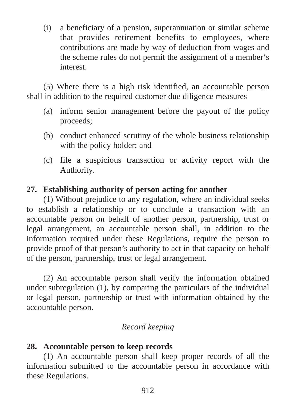(i) a beneficiary of a pension, superannuation or similar scheme that provides retirement benefits to employees, where contributions are made by way of deduction from wages and the scheme rules do not permit the assignment of a member's interest.

(5) Where there is a high risk identified, an accountable person shall in addition to the required customer due diligence measures—

- (a) inform senior management before the payout of the policy proceeds;
- (b) conduct enhanced scrutiny of the whole business relationship with the policy holder; and
- (c) file a suspicious transaction or activity report with the Authority.

# **27. Establishing authority of person acting for another**

(1) Without prejudice to any regulation, where an individual seeks to establish a relationship or to conclude a transaction with an accountable person on behalf of another person, partnership, trust or legal arrangement, an accountable person shall, in addition to the information required under these Regulations, require the person to provide proof of that person's authority to act in that capacity on behalf of the person, partnership, trust or legal arrangement.

(2) An accountable person shall verify the information obtained under subregulation (1), by comparing the particulars of the individual or legal person, partnership or trust with information obtained by the accountable person.

# *Record keeping*

# **28. Accountable person to keep records**

(1) An accountable person shall keep proper records of all the information submitted to the accountable person in accordance with these Regulations.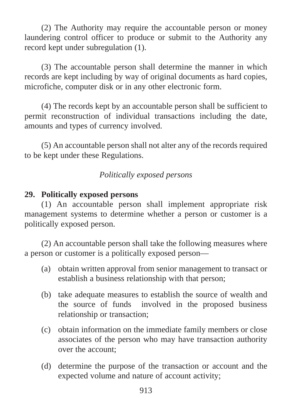(2) The Authority may require the accountable person or money laundering control officer to produce or submit to the Authority any record kept under subregulation (1).

(3) The accountable person shall determine the manner in which records are kept including by way of original documents as hard copies, microfiche, computer disk or in any other electronic form.

(4) The records kept by an accountable person shall be sufficient to permit reconstruction of individual transactions including the date, amounts and types of currency involved.

(5) An accountable person shall not alter any of the records required to be kept under these Regulations.

# *Politically exposed persons*

## **29. Politically exposed persons**

(1) An accountable person shall implement appropriate risk management systems to determine whether a person or customer is a politically exposed person.

(2) An accountable person shall take the following measures where a person or customer is a politically exposed person—

- (a) obtain written approval from senior management to transact or establish a business relationship with that person;
- (b) take adequate measures to establish the source of wealth and the source of funds involved in the proposed business relationship or transaction;
- (c) obtain information on the immediate family members or close associates of the person who may have transaction authority over the account;
- (d) determine the purpose of the transaction or account and the expected volume and nature of account activity;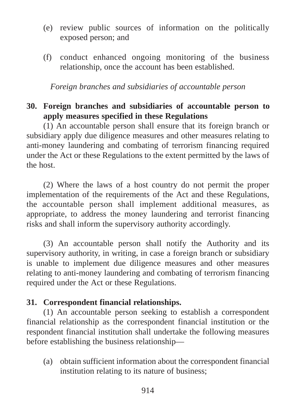- (e) review public sources of information on the politically exposed person; and
- (f) conduct enhanced ongoing monitoring of the business relationship, once the account has been established.

*Foreign branches and subsidiaries of accountable person*

# **30. Foreign branches and subsidiaries of accountable person to apply measures specified in these Regulations**

(1) An accountable person shall ensure that its foreign branch or subsidiary apply due diligence measures and other measures relating to anti-money laundering and combating of terrorism financing required under the Act or these Regulations to the extent permitted by the laws of the host.

(2) Where the laws of a host country do not permit the proper implementation of the requirements of the Act and these Regulations, the accountable person shall implement additional measures, as appropriate, to address the money laundering and terrorist financing risks and shall inform the supervisory authority accordingly.

(3) An accountable person shall notify the Authority and its supervisory authority, in writing, in case a foreign branch or subsidiary is unable to implement due diligence measures and other measures relating to anti-money laundering and combating of terrorism financing required under the Act or these Regulations.

# **31. Correspondent financial relationships.**

(1) An accountable person seeking to establish a correspondent financial relationship as the correspondent financial institution or the respondent financial institution shall undertake the following measures before establishing the business relationship—

(a) obtain sufficient information about the correspondent financial institution relating to its nature of business;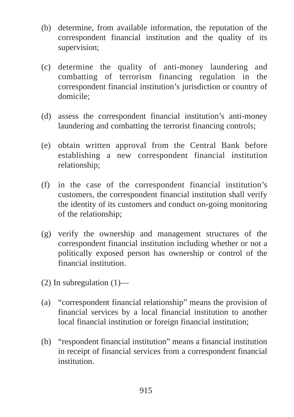- (b) determine, from available information, the reputation of the correspondent financial institution and the quality of its supervision;
- (c) determine the quality of anti-money laundering and combatting of terrorism financing regulation in the correspondent financial institution's jurisdiction or country of domicile;
- (d) assess the correspondent financial institution's anti-money laundering and combatting the terrorist financing controls;
- (e) obtain written approval from the Central Bank before establishing a new correspondent financial institution relationship;
- (f) in the case of the correspondent financial institution's customers, the correspondent financial institution shall verify the identity of its customers and conduct on-going monitoring of the relationship;
- (g) verify the ownership and management structures of the correspondent financial institution including whether or not a politically exposed person has ownership or control of the financial institution.
- (2) In subregulation  $(1)$ —
- (a) "correspondent financial relationship" means the provision of financial services by a local financial institution to another local financial institution or foreign financial institution;
- (b) "respondent financial institution" means a financial institution in receipt of financial services from a correspondent financial institution.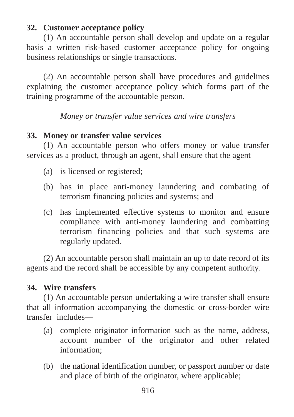# **32. Customer acceptance policy**

(1) An accountable person shall develop and update on a regular basis a written risk-based customer acceptance policy for ongoing business relationships or single transactions.

(2) An accountable person shall have procedures and guidelines explaining the customer acceptance policy which forms part of the training programme of the accountable person.

*Money or transfer value services and wire transfers*

## **33. Money or transfer value services**

(1) An accountable person who offers money or value transfer services as a product, through an agent, shall ensure that the agent—

- (a) is licensed or registered;
- (b) has in place anti-money laundering and combating of terrorism financing policies and systems; and
- (c) has implemented effective systems to monitor and ensure compliance with anti-money laundering and combatting terrorism financing policies and that such systems are regularly updated.

(2) An accountable person shall maintain an up to date record of its agents and the record shall be accessible by any competent authority.

# **34. Wire transfers**

(1) An accountable person undertaking a wire transfer shall ensure that all information accompanying the domestic or cross-border wire transfer includes—

- (a) complete originator information such as the name, address, account number of the originator and other related information;
- (b) the national identification number, or passport number or date and place of birth of the originator, where applicable;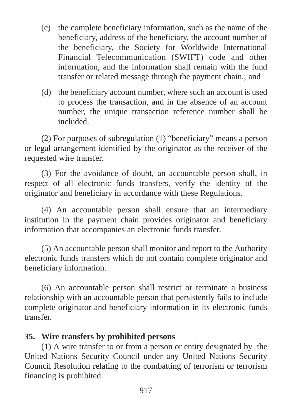- (c) the complete beneficiary information, such as the name of the beneficiary, address of the beneficiary, the account number of the beneficiary, the Society for Worldwide International Financial Telecommunication (SWIFT) code and other information, and the information shall remain with the fund transfer or related message through the payment chain.; and
- (d) the beneficiary account number, where such an account is used to process the transaction, and in the absence of an account number, the unique transaction reference number shall be included.

(2) For purposes of subregulation (1) "beneficiary" means a person or legal arrangement identified by the originator as the receiver of the requested wire transfer.

(3) For the avoidance of doubt, an accountable person shall, in respect of all electronic funds transfers, verify the identity of the originator and beneficiary in accordance with these Regulations.

(4) An accountable person shall ensure that an intermediary institution in the payment chain provides originator and beneficiary information that accompanies an electronic funds transfer.

(5) An accountable person shall monitor and report to the Authority electronic funds transfers which do not contain complete originator and beneficiary information.

(6) An accountable person shall restrict or terminate a business relationship with an accountable person that persistently fails to include complete originator and beneficiary information in its electronic funds transfer.

## **35. Wire transfers by prohibited persons**

(1) A wire transfer to or from a person or entity designated by the United Nations Security Council under any United Nations Security Council Resolution relating to the combatting of terrorism or terrorism financing is prohibited.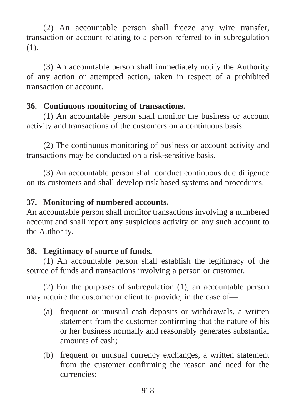(2) An accountable person shall freeze any wire transfer, transaction or account relating to a person referred to in subregulation (1).

(3) An accountable person shall immediately notify the Authority of any action or attempted action, taken in respect of a prohibited transaction or account.

# **36. Continuous monitoring of transactions.**

(1) An accountable person shall monitor the business or account activity and transactions of the customers on a continuous basis.

(2) The continuous monitoring of business or account activity and transactions may be conducted on a risk-sensitive basis.

(3) An accountable person shall conduct continuous due diligence on its customers and shall develop risk based systems and procedures.

# **37. Monitoring of numbered accounts.**

An accountable person shall monitor transactions involving a numbered account and shall report any suspicious activity on any such account to the Authority.

# **38. Legitimacy of source of funds.**

(1) An accountable person shall establish the legitimacy of the source of funds and transactions involving a person or customer.

(2) For the purposes of subregulation (1), an accountable person may require the customer or client to provide, in the case of—

- (a) frequent or unusual cash deposits or withdrawals, a written statement from the customer confirming that the nature of his or her business normally and reasonably generates substantial amounts of cash;
- (b) frequent or unusual currency exchanges, a written statement from the customer confirming the reason and need for the currencies;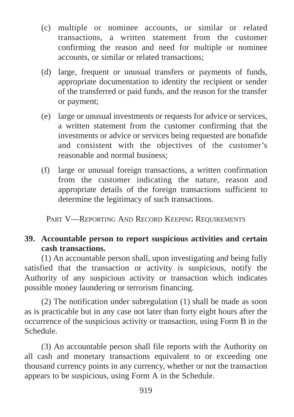- (c) multiple or nominee accounts, or similar or related transactions, a written statement from the customer confirming the reason and need for multiple or nominee accounts, or similar or related transactions;
- (d) large, frequent or unusual transfers or payments of funds, appropriate documentation to identity the recipient or sender of the transferred or paid funds, and the reason for the transfer or payment;
- (e) large or unusual investments or requests for advice or services, a written statement from the customer confirming that the investments or advice or services being requested are bonafide and consistent with the objectives of the customer's reasonable and normal business;
- (f) large or unusual foreign transactions, a written confirmation from the customer indicating the nature, reason and appropriate details of the foreign transactions sufficient to determine the legitimacy of such transactions.

PART V—REPORTING AND RECORD KEEPING REQUIREMENTS

# **39. Accountable person to report suspicious activities and certain cash transactions.**

(1) An accountable person shall, upon investigating and being fully satisfied that the transaction or activity is suspicious, notify the Authority of any suspicious activity or transaction which indicates possible money laundering or terrorism financing.

(2) The notification under subregulation (1) shall be made as soon as is practicable but in any case not later than forty eight hours after the occurrence of the suspicious activity or transaction, using Form B in the Schedule.

(3) An accountable person shall file reports with the Authority on all cash and monetary transactions equivalent to or exceeding one thousand currency points in any currency, whether or not the transaction appears to be suspicious, using Form A in the Schedule.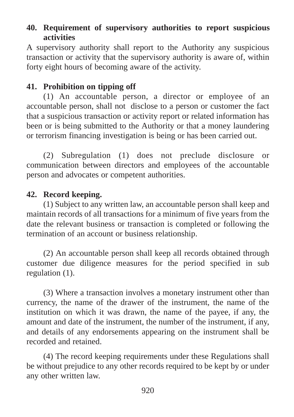# **40. Requirement of supervisory authorities to report suspicious activities**

A supervisory authority shall report to the Authority any suspicious transaction or activity that the supervisory authority is aware of, within forty eight hours of becoming aware of the activity.

# **41. Prohibition on tipping off**

(1) An accountable person, a director or employee of an accountable person, shall not disclose to a person or customer the fact that a suspicious transaction or activity report or related information has been or is being submitted to the Authority or that a money laundering or terrorism financing investigation is being or has been carried out.

(2) Subregulation (1) does not preclude disclosure or communication between directors and employees of the accountable person and advocates or competent authorities.

# **42. Record keeping.**

(1) Subject to any written law, an accountable person shall keep and maintain records of all transactions for a minimum of five years from the date the relevant business or transaction is completed or following the termination of an account or business relationship.

(2) An accountable person shall keep all records obtained through customer due diligence measures for the period specified in sub regulation (1).

(3) Where a transaction involves a monetary instrument other than currency, the name of the drawer of the instrument, the name of the institution on which it was drawn, the name of the payee, if any, the amount and date of the instrument, the number of the instrument, if any, and details of any endorsements appearing on the instrument shall be recorded and retained.

(4) The record keeping requirements under these Regulations shall be without prejudice to any other records required to be kept by or under any other written law.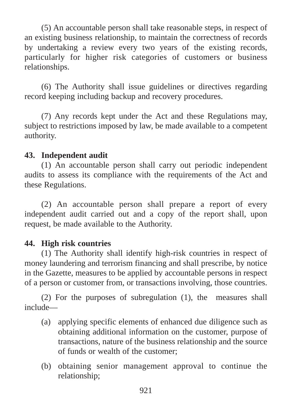(5) An accountable person shall take reasonable steps, in respect of an existing business relationship, to maintain the correctness of records by undertaking a review every two years of the existing records, particularly for higher risk categories of customers or business relationships.

(6) The Authority shall issue guidelines or directives regarding record keeping including backup and recovery procedures.

(7) Any records kept under the Act and these Regulations may, subject to restrictions imposed by law, be made available to a competent authority.

# **43. Independent audit**

(1) An accountable person shall carry out periodic independent audits to assess its compliance with the requirements of the Act and these Regulations.

(2) An accountable person shall prepare a report of every independent audit carried out and a copy of the report shall, upon request, be made available to the Authority.

# **44. High risk countries**

(1) The Authority shall identify high-risk countries in respect of money laundering and terrorism financing and shall prescribe, by notice in the Gazette, measures to be applied by accountable persons in respect of a person or customer from, or transactions involving, those countries.

(2) For the purposes of subregulation (1), the measures shall include—

- (a) applying specific elements of enhanced due diligence such as obtaining additional information on the customer, purpose of transactions, nature of the business relationship and the source of funds or wealth of the customer;
- (b) obtaining senior management approval to continue the relationship;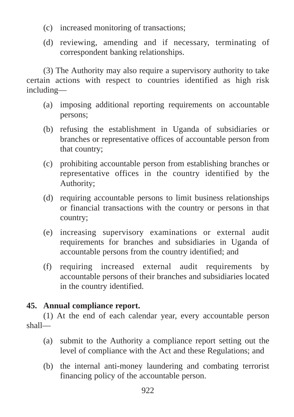- (c) increased monitoring of transactions;
- (d) reviewing, amending and if necessary, terminating of correspondent banking relationships.

(3) The Authority may also require a supervisory authority to take certain actions with respect to countries identified as high risk including—

- (a) imposing additional reporting requirements on accountable persons;
- (b) refusing the establishment in Uganda of subsidiaries or branches or representative offices of accountable person from that country;
- (c) prohibiting accountable person from establishing branches or representative offices in the country identified by the Authority;
- (d) requiring accountable persons to limit business relationships or financial transactions with the country or persons in that country;
- (e) increasing supervisory examinations or external audit requirements for branches and subsidiaries in Uganda of accountable persons from the country identified; and
- (f) requiring increased external audit requirements by accountable persons of their branches and subsidiaries located in the country identified.

# **45. Annual compliance report.**

(1) At the end of each calendar year, every accountable person shall—

- (a) submit to the Authority a compliance report setting out the level of compliance with the Act and these Regulations; and
- (b) the internal anti-money laundering and combating terrorist financing policy of the accountable person.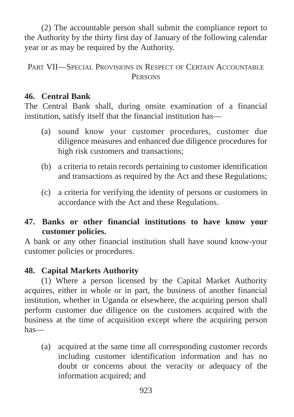(2) The accountable person shall submit the compliance report to the Authority by the thirty first day of January of the following calendar year or as may be required by the Authority.

PART VII—SPECIAL PROVISIONS IN RESPECT OF CERTAIN ACCOUNTABLE **PERSONS** 

## **46. Central Bank**

The Central Bank shall, during onsite examination of a financial institution, satisfy itself that the financial institution has—

- (a) sound know your customer procedures, customer due diligence measures and enhanced due diligence procedures for high risk customers and transactions;
- (b) a criteria to retain records pertaining to customer identification and transactions as required by the Act and these Regulations;
- (c) a criteria for verifying the identity of persons or customers in accordance with the Act and these Regulations.

# **47. Banks or other financial institutions to have know your customer policies.**

A bank or any other financial institution shall have sound know-your customer policies or procedures.

# **48. Capital Markets Authority**

(1) Where a person licensed by the Capital Market Authority acquires, either in whole or in part, the business of another financial institution, whether in Uganda or elsewhere, the acquiring person shall perform customer due diligence on the customers acquired with the business at the time of acquisition except where the acquiring person has—

(a) acquired at the same time all corresponding customer records including customer identification information and has no doubt or concerns about the veracity or adequacy of the information acquired; and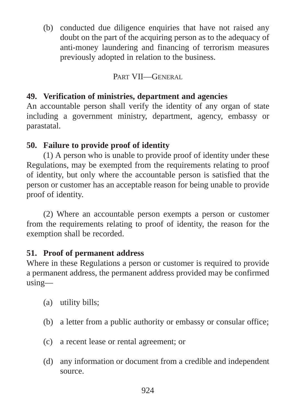(b) conducted due diligence enquiries that have not raised any doubt on the part of the acquiring person as to the adequacy of anti-money laundering and financing of terrorism measures previously adopted in relation to the business.

# PART VII—GENERAL

# **49. Verification of ministries, department and agencies**

An accountable person shall verify the identity of any organ of state including a government ministry, department, agency, embassy or parastatal.

# **50. Failure to provide proof of identity**

(1) A person who is unable to provide proof of identity under these Regulations, may be exempted from the requirements relating to proof of identity, but only where the accountable person is satisfied that the person or customer has an acceptable reason for being unable to provide proof of identity.

(2) Where an accountable person exempts a person or customer from the requirements relating to proof of identity, the reason for the exemption shall be recorded.

# **51. Proof of permanent address**

Where in these Regulations a person or customer is required to provide a permanent address, the permanent address provided may be confirmed using—

- (a) utility bills;
- (b) a letter from a public authority or embassy or consular office;
- (c) a recent lease or rental agreement; or
- (d) any information or document from a credible and independent source.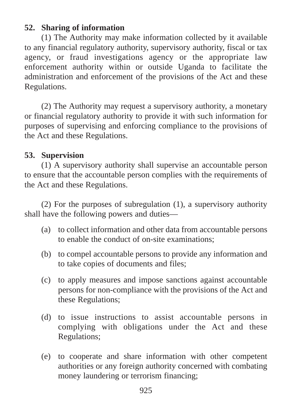# **52. Sharing of information**

(1) The Authority may make information collected by it available to any financial regulatory authority, supervisory authority, fiscal or tax agency, or fraud investigations agency or the appropriate law enforcement authority within or outside Uganda to facilitate the administration and enforcement of the provisions of the Act and these Regulations.

(2) The Authority may request a supervisory authority, a monetary or financial regulatory authority to provide it with such information for purposes of supervising and enforcing compliance to the provisions of the Act and these Regulations.

## **53. Supervision**

(1) A supervisory authority shall supervise an accountable person to ensure that the accountable person complies with the requirements of the Act and these Regulations.

(2) For the purposes of subregulation (1), a supervisory authority shall have the following powers and duties—

- (a) to collect information and other data from accountable persons to enable the conduct of on-site examinations;
- (b) to compel accountable persons to provide any information and to take copies of documents and files;
- (c) to apply measures and impose sanctions against accountable persons for non-compliance with the provisions of the Act and these Regulations;
- (d) to issue instructions to assist accountable persons in complying with obligations under the Act and these Regulations;
- (e) to cooperate and share information with other competent authorities or any foreign authority concerned with combating money laundering or terrorism financing;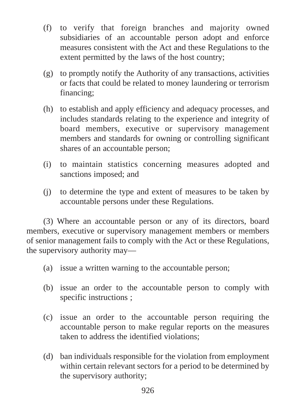- (f) to verify that foreign branches and majority owned subsidiaries of an accountable person adopt and enforce measures consistent with the Act and these Regulations to the extent permitted by the laws of the host country;
- (g) to promptly notify the Authority of any transactions, activities or facts that could be related to money laundering or terrorism financing;
- (h) to establish and apply efficiency and adequacy processes, and includes standards relating to the experience and integrity of board members, executive or supervisory management members and standards for owning or controlling significant shares of an accountable person;
- (i) to maintain statistics concerning measures adopted and sanctions imposed; and
- (j) to determine the type and extent of measures to be taken by accountable persons under these Regulations.

(3) Where an accountable person or any of its directors, board members, executive or supervisory management members or members of senior management fails to comply with the Act or these Regulations, the supervisory authority may—

- (a) issue a written warning to the accountable person;
- (b) issue an order to the accountable person to comply with specific instructions ;
- (c) issue an order to the accountable person requiring the accountable person to make regular reports on the measures taken to address the identified violations;
- (d) ban individuals responsible for the violation from employment within certain relevant sectors for a period to be determined by the supervisory authority;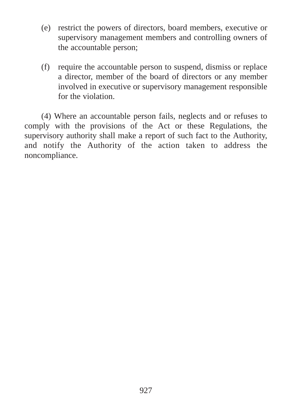- (e) restrict the powers of directors, board members, executive or supervisory management members and controlling owners of the accountable person;
- (f) require the accountable person to suspend, dismiss or replace a director, member of the board of directors or any member involved in executive or supervisory management responsible for the violation.

(4) Where an accountable person fails, neglects and or refuses to comply with the provisions of the Act or these Regulations, the supervisory authority shall make a report of such fact to the Authority, and notify the Authority of the action taken to address the noncompliance.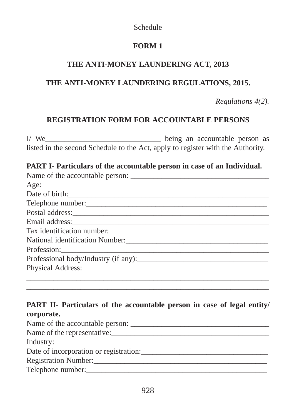#### Schedule

# **FORM 1**

# **THE ANTI-MONEY LAUNDERING ACT, 2013**

# **THE ANTI-MONEY LAUNDERING REGULATIONS, 2015.**

*Regulations 4(2).*

# **REGISTRATION FORM FOR ACCOUNTABLE PERSONS**

I/ We being an accountable person as listed in the second Schedule to the Act, apply to register with the Authority.

#### **PART I- Particulars of the accountable person in case of an Individual.**

| Date of birth:                                                                                                                                                                                                                 |
|--------------------------------------------------------------------------------------------------------------------------------------------------------------------------------------------------------------------------------|
| Telephone number:                                                                                                                                                                                                              |
|                                                                                                                                                                                                                                |
|                                                                                                                                                                                                                                |
|                                                                                                                                                                                                                                |
|                                                                                                                                                                                                                                |
| Profession: 2008 and 2008 and 2008 and 2008 and 2008 and 2008 and 2008 and 2008 and 2008 and 2008 and 2008 and 2008 and 2008 and 2008 and 2008 and 2008 and 2008 and 2008 and 2008 and 2008 and 2008 and 2008 and 2008 and 200 |
| Professional body/Industry (if any): 2008. [2015]                                                                                                                                                                              |
|                                                                                                                                                                                                                                |
|                                                                                                                                                                                                                                |

# **PART II**- **Particulars of the accountable person in case of legal entity/ corporate.**

\_\_\_\_\_\_\_\_\_\_\_\_\_\_\_\_\_\_\_\_\_\_\_\_\_\_\_\_\_\_\_\_\_\_\_\_\_\_\_\_\_\_\_\_\_\_\_\_\_\_\_\_\_\_\_\_\_\_\_\_\_\_\_

| Name of the accountable person:        |
|----------------------------------------|
| Name of the representative:            |
|                                        |
| Date of incorporation or registration: |
| Registration Number:                   |
| Telephone number:                      |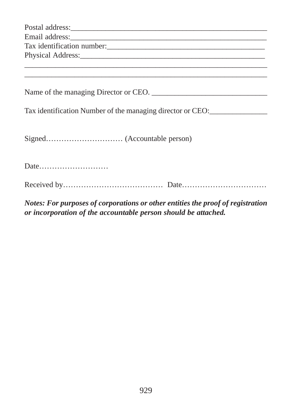| Tax identification number:                                 |
|------------------------------------------------------------|
|                                                            |
| Tax identification Number of the managing director or CEO: |
|                                                            |
| Date                                                       |
|                                                            |

*Notes: For purposes of corporations or other entities the proof of registration or incorporation of the accountable person should be attached.*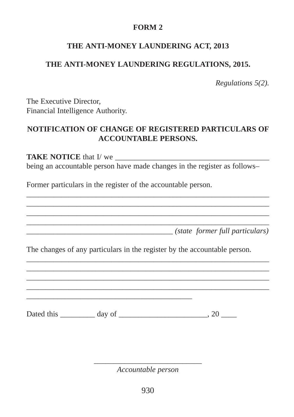## **FORM 2**

# **THE ANTI-MONEY LAUNDERING ACT, 2013**

# **THE ANTI-MONEY LAUNDERING REGULATIONS, 2015.**

*Regulations 5(2).*

The Executive Director, Financial Intelligence Authority.

## **NOTIFICATION OF CHANGE OF REGISTERED PARTICULARS OF ACCOUNTABLE PERSONS.**

**TAKE NOTICE** that I/ we being an accountable person have made changes in the register as follows–

\_\_\_\_\_\_\_\_\_\_\_\_\_\_\_\_\_\_\_\_\_\_\_\_\_\_\_\_\_\_\_\_\_\_\_\_\_\_\_\_\_\_\_\_\_\_\_\_\_\_\_\_\_\_\_\_\_\_\_\_\_\_\_ \_\_\_\_\_\_\_\_\_\_\_\_\_\_\_\_\_\_\_\_\_\_\_\_\_\_\_\_\_\_\_\_\_\_\_\_\_\_\_\_\_\_\_\_\_\_\_\_\_\_\_\_\_\_\_\_\_\_\_\_\_\_\_ \_\_\_\_\_\_\_\_\_\_\_\_\_\_\_\_\_\_\_\_\_\_\_\_\_\_\_\_\_\_\_\_\_\_\_\_\_\_\_\_\_\_\_\_\_\_\_\_\_\_\_\_\_\_\_\_\_\_\_\_\_\_\_ \_\_\_\_\_\_\_\_\_\_\_\_\_\_\_\_\_\_\_\_\_\_\_\_\_\_\_\_\_\_\_\_\_\_\_\_\_\_\_\_\_\_\_\_\_\_\_\_\_\_\_\_\_\_\_\_\_\_\_\_\_\_\_

Former particulars in the register of the accountable person.

\_\_\_\_\_\_\_\_\_\_\_\_\_\_\_\_\_\_\_\_\_\_\_\_\_\_\_\_\_\_\_\_\_\_\_\_\_\_ *(state former full particulars)* 

The changes of any particulars in the register by the accountable person.

\_\_\_\_\_\_\_\_\_\_\_\_\_\_\_\_\_\_\_\_\_\_\_\_\_\_\_\_\_\_\_\_\_\_\_\_\_\_\_\_\_\_\_\_\_\_\_\_\_\_\_\_\_\_\_\_\_\_\_\_\_\_\_ \_\_\_\_\_\_\_\_\_\_\_\_\_\_\_\_\_\_\_\_\_\_\_\_\_\_\_\_\_\_\_\_\_\_\_\_\_\_\_\_\_\_\_\_\_\_\_\_\_\_\_\_\_\_\_\_\_\_\_\_\_\_\_ \_\_\_\_\_\_\_\_\_\_\_\_\_\_\_\_\_\_\_\_\_\_\_\_\_\_\_\_\_\_\_\_\_\_\_\_\_\_\_\_\_\_\_\_\_\_\_\_\_\_\_\_\_\_\_\_\_\_\_\_\_\_\_ \_\_\_\_\_\_\_\_\_\_\_\_\_\_\_\_\_\_\_\_\_\_\_\_\_\_\_\_\_\_\_\_\_\_\_\_\_\_\_\_\_\_\_\_\_\_\_\_\_\_\_\_\_\_\_\_\_\_\_\_\_\_\_

Dated this day of 20

\_\_\_\_\_\_\_\_\_\_\_\_\_\_\_\_\_\_\_\_\_\_\_\_\_\_\_\_\_\_\_\_\_\_\_\_\_\_\_\_\_\_\_

\_\_\_\_\_\_\_\_\_\_\_\_\_\_\_\_\_\_\_\_\_\_\_\_\_\_\_\_ *Accountable person*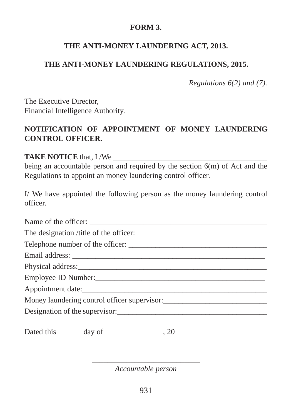# **FORM 3.**

## **THE ANTI-MONEY LAUNDERING ACT, 2013.**

# **THE ANTI-MONEY LAUNDERING REGULATIONS, 2015.**

*Regulations 6(2) and (7).*

The Executive Director, Financial Intelligence Authority.

# **NOTIFICATION OF APPOINTMENT OF MONEY LAUNDERING CONTROL OFFICER.**

**TAKE NOTICE** that, I /We \_\_\_\_\_\_\_\_\_\_\_\_\_\_\_\_\_\_\_\_\_\_\_\_\_\_\_\_\_\_\_\_\_\_\_\_\_\_\_\_

being an accountable person and required by the section 6(m) of Act and the Regulations to appoint an money laundering control officer.

I/ We have appointed the following person as the money laundering control officer.

| Dated this $\_\_\_\_$ day of $\_\_\_\_\_\_$ , 20 $\_\_\_\_\_\_$ |
|-----------------------------------------------------------------|

\_\_\_\_\_\_\_\_\_\_\_\_\_\_\_\_\_\_\_\_\_\_\_\_\_\_\_\_ *Accountable person*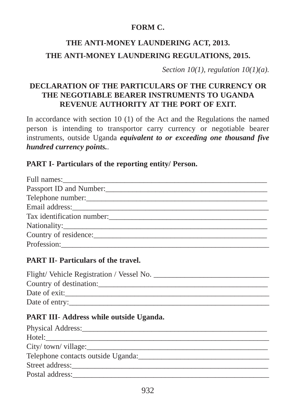## **FORM C.**

# **THE ANTI-MONEY LAUNDERING ACT, 2013. THE ANTI-MONEY LAUNDERING REGULATIONS, 2015.**

*Section 10(1), regulation 10(1)(a).*

# **DECLARATION OF THE PARTICULARS OF THE CURRENCY OR THE NEGOTIABLE BEARER INSTRUMENTS TO UGANDA REVENUE AUTHORITY AT THE PORT OF EXIT.**

In accordance with section 10 (1) of the Act and the Regulations the named person is intending to transportor carry currency or negotiable bearer instruments, outside Uganda *equivalent to or exceeding one thousand five hundred currency points.*.

## **PART I- Particulars of the reporting entity/ Person.**

| Telephone number:<br><u> Telephone</u> number: |
|------------------------------------------------|
|                                                |
| Tax identification number:                     |
|                                                |
| Country of residence:                          |
|                                                |

## **PART II- Particulars of the travel.**

| Flight/Vehicle Registration / Vessel No. _ |
|--------------------------------------------|
| Country of destination:                    |
| Date of exit:                              |
| Date of entry:                             |

## **PART III**- **Address while outside Uganda.**

| Physical Address:                  |
|------------------------------------|
|                                    |
| City/town/village:                 |
| Telephone contacts outside Uganda: |
| Street address:                    |
| Postal address:                    |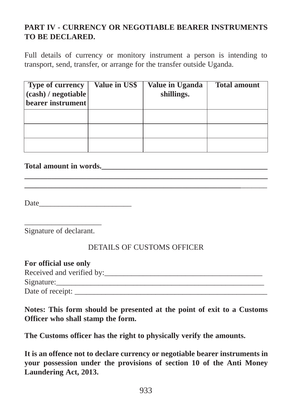# **PART IV - CURRENCY OR NEGOTIABLE BEARER INSTRUMENTS TO BE DECLARED.**

Full details of currency or monitory instrument a person is intending to transport, send, transfer, or arrange for the transfer outside Uganda.

| <b>Type of currency</b><br>(cash) / negotiable<br>bearer instrument | Value in US\$ | Value in Uganda<br>shillings. | <b>Total amount</b> |
|---------------------------------------------------------------------|---------------|-------------------------------|---------------------|
|                                                                     |               |                               |                     |
|                                                                     |               |                               |                     |
|                                                                     |               |                               |                     |

**\_\_\_\_\_\_\_\_\_\_\_\_\_\_\_\_\_\_\_\_\_\_\_\_\_\_\_\_\_\_\_\_\_\_\_\_\_\_\_\_\_\_\_\_\_\_\_\_\_\_\_\_\_\_\_\_\_\_\_\_\_\_\_ \_\_\_\_\_\_\_\_\_\_\_\_\_\_\_\_\_\_\_\_\_\_\_\_\_\_\_\_\_\_\_\_\_\_\_\_\_\_\_\_\_\_\_\_\_\_\_\_\_\_\_\_\_\_\_\_**\_\_\_\_\_\_\_

#### Total amount in words.

Date\_\_\_\_\_\_\_\_\_\_\_\_\_\_\_\_\_\_\_\_\_\_\_\_

\_\_\_\_\_\_\_\_\_\_\_\_\_\_\_\_\_\_\_\_ Signature of declarant.

#### DETAILS OF CUSTOMS OFFICER

| For official use only     |
|---------------------------|
| Received and verified by: |
| Signature:                |
| Date of receipt:          |

**Notes: This form should be presented at the point of exit to a Customs Officer who shall stamp the form.**

**The Customs officer has the right to physically verify the amounts.**

**It is an offence not to declare currency or negotiable bearer instruments in your possession under the provisions of section 10 of the Anti Money Laundering Act, 2013.**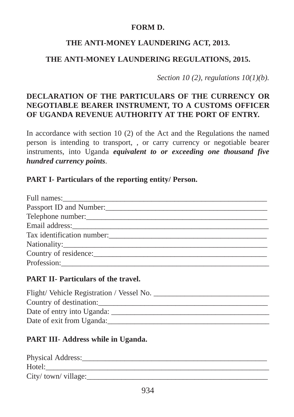#### **FORM D.**

## **THE ANTI-MONEY LAUNDERING ACT, 2013.**

## **THE ANTI-MONEY LAUNDERING REGULATIONS, 2015.**

*Section 10 (2), regulations 10(1)(b).*

# **DECLARATION OF THE PARTICULARS OF THE CURRENCY OR NEGOTIABLE BEARER INSTRUMENT, TO A CUSTOMS OFFICER OF UGANDA REVENUE AUTHORITY AT THE PORT OF ENTRY.**

In accordance with section 10 (2) of the Act and the Regulations the named person is intending to transport, , or carry currency or negotiable bearer instruments, into Uganda *equivalent to or exceeding one thousand five hundred currency points*.

#### **PART I- Particulars of the reporting entity/ Person.**

| Country of residence: |
|-----------------------|
|                       |

#### **PART II- Particulars of the travel.**

| Flight/Vehicle Registration / Vessel No. |
|------------------------------------------|
| Country of destination:                  |
| Date of entry into Uganda:               |
| Date of exit from Uganda:                |

## **PART III**- **Address while in Uganda.**

| Physical Address:    |
|----------------------|
| Hotel:               |
| City/ town/ village: |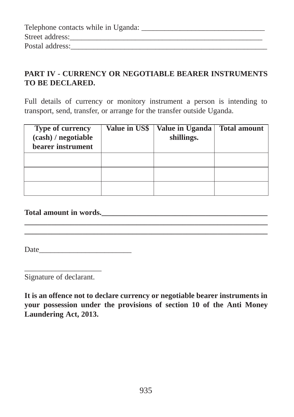| Telephone contacts while in Uganda: |  |
|-------------------------------------|--|
| Street address:                     |  |
| Postal address:                     |  |

# **PART IV - CURRENCY OR NEGOTIABLE BEARER INSTRUMENTS TO BE DECLARED.**

Full details of currency or monitory instrument a person is intending to transport, send, transfer, or arrange for the transfer outside Uganda.

| Type of currency<br>(cash) / negotiable<br>bearer instrument | Value in US\$ | <b>Value in Uganda</b><br>shillings. | <b>Total amount</b> |
|--------------------------------------------------------------|---------------|--------------------------------------|---------------------|
|                                                              |               |                                      |                     |
|                                                              |               |                                      |                     |
|                                                              |               |                                      |                     |

**\_\_\_\_\_\_\_\_\_\_\_\_\_\_\_\_\_\_\_\_\_\_\_\_\_\_\_\_\_\_\_\_\_\_\_\_\_\_\_\_\_\_\_\_\_\_\_\_\_\_\_\_\_\_\_\_\_\_\_\_\_\_\_ \_\_\_\_\_\_\_\_\_\_\_\_\_\_\_\_\_\_\_\_\_\_\_\_\_\_\_\_\_\_\_\_\_\_\_\_\_\_\_\_\_\_\_\_\_\_\_\_\_\_\_\_\_\_\_\_\_\_\_\_\_\_\_**

## **Total amount in words.\_\_\_\_\_\_\_\_\_\_\_\_\_\_\_\_\_\_\_\_\_\_\_\_\_\_\_\_\_\_\_\_\_\_\_\_\_\_\_\_\_\_\_**

Date\_\_\_\_\_\_\_\_\_\_\_\_\_\_\_\_\_\_\_\_\_\_\_\_

\_\_\_\_\_\_\_\_\_\_\_\_\_\_\_\_\_\_\_\_ Signature of declarant.

**It is an offence not to declare currency or negotiable bearer instruments in your possession under the provisions of section 10 of the Anti Money Laundering Act, 2013.**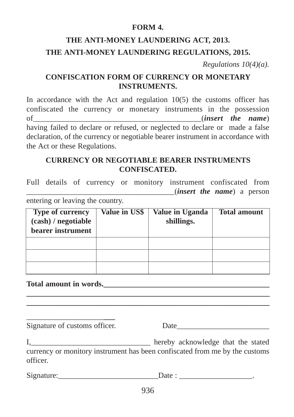#### **FORM 4.**

# **THE ANTI-MONEY LAUNDERING ACT, 2013. THE ANTI-MONEY LAUNDERING REGULATIONS, 2015.**

*Regulations 10(4)(a).*

## **CONFISCATION FORM OF CURRENCY OR MONETARY INSTRUMENTS.**

In accordance with the Act and regulation  $10(5)$  the customs officer has confiscated the currency or monetary instruments in the possession of\_\_\_\_\_\_\_\_\_\_\_\_\_\_\_\_\_\_\_\_\_\_\_\_\_\_\_\_\_\_\_\_\_\_\_\_\_\_\_\_\_\_(*insert the name*) having failed to declare or refused, or neglected to declare or made a false declaration, of the currency or negotiable bearer instrument in accordance with the Act or these Regulations.

#### **CURRENCY OR NEGOTIABLE BEARER INSTRUMENTS CONFISCATED.**

Full details of currency or monitory instrument confiscated from \_\_\_\_\_\_\_\_\_\_\_\_\_\_\_\_\_\_\_\_\_\_\_\_\_\_\_\_\_\_\_\_\_\_\_\_\_\_(*insert the name*) a person entering or leaving the country.

| Type of currency<br>(cash) / negotiable<br>bearer instrument | Value in US\$ | Value in Uganda<br>shillings. | <b>Total amount</b> |
|--------------------------------------------------------------|---------------|-------------------------------|---------------------|
|                                                              |               |                               |                     |
|                                                              |               |                               |                     |
|                                                              |               |                               |                     |

**\_\_\_\_\_\_\_\_\_\_\_\_\_\_\_\_\_\_\_\_\_\_\_\_\_\_\_\_\_\_\_\_\_\_\_\_\_\_\_\_\_\_\_\_\_\_\_\_\_\_\_\_\_\_\_\_\_\_\_\_\_\_\_ \_\_\_\_\_\_\_\_\_\_\_\_\_\_\_\_\_\_\_\_\_\_\_\_\_\_\_\_\_\_\_\_\_\_\_\_\_\_\_\_\_\_\_\_\_\_\_\_\_\_\_\_\_\_\_\_\_\_\_\_\_\_\_**

#### **Total amount in words.**

\_\_\_\_\_\_\_\_\_\_\_\_\_\_\_\_\_\_\_\_**\_\_\_** Signature of customs officer. Date

I, hereby acknowledge that the stated currency or monitory instrument has been confiscated from me by the customs officer.

Signature:  $Date:$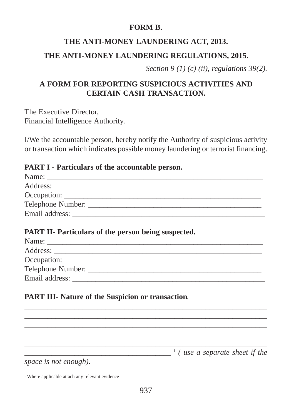#### **FORM B.**

## **THE ANTI-MONEY LAUNDERING ACT, 2013.**

## **THE ANTI-MONEY LAUNDERING REGULATIONS, 2015.**

*Section 9 (1) (c) (ii), regulations 39(2).*

## **A FORM FOR REPORTING SUSPICIOUS ACTIVITIES AND CERTAIN CASH TRANSACTION.**

The Executive Director, Financial Intelligence Authority.

I/We the accountable person, hereby notify the Authority of suspicious activity or transaction which indicates possible money laundering or terrorist financing.

#### **PART I - Particulars of the accountable person.**

| Name:               |  |
|---------------------|--|
| Address:            |  |
|                     |  |
| Telephone Number: _ |  |
| Email address:      |  |

#### **PART II- Particulars of the person being suspected.**

| Name:          |
|----------------|
| Address:       |
|                |
|                |
| Email address: |
|                |

\_\_\_\_\_\_\_\_\_\_\_\_\_\_\_\_\_\_\_\_\_\_\_\_\_\_\_\_\_\_\_\_\_\_\_\_\_\_\_\_\_\_\_\_\_\_\_\_\_\_\_\_\_\_\_\_\_\_\_\_\_\_\_ \_\_\_\_\_\_\_\_\_\_\_\_\_\_\_\_\_\_\_\_\_\_\_\_\_\_\_\_\_\_\_\_\_\_\_\_\_\_\_\_\_\_\_\_\_\_\_\_\_\_\_\_\_\_\_\_\_\_\_\_\_\_\_ \_\_\_\_\_\_\_\_\_\_\_\_\_\_\_\_\_\_\_\_\_\_\_\_\_\_\_\_\_\_\_\_\_\_\_\_\_\_\_\_\_\_\_\_\_\_\_\_\_\_\_\_\_\_\_\_\_\_\_\_\_\_\_ \_\_\_\_\_\_\_\_\_\_\_\_\_\_\_\_\_\_\_\_\_\_\_\_\_\_\_\_\_\_\_\_\_\_\_\_\_\_\_\_\_\_\_\_\_\_\_\_\_\_\_\_\_\_\_\_\_\_\_\_\_\_\_ \_\_\_\_\_\_\_\_\_\_\_\_\_\_\_\_\_\_\_\_\_\_\_\_\_\_\_\_\_\_\_\_\_\_\_\_\_\_\_\_\_\_\_\_\_\_\_\_\_\_\_\_\_\_\_\_\_\_\_\_\_\_\_

## **PART III- Nature of the Suspicion or transaction**.

\_\_\_\_\_\_\_\_\_\_\_\_\_\_\_\_\_\_\_\_\_\_\_\_\_\_\_\_\_\_\_\_\_\_\_\_\_\_ 1 *( use a separate sheet if the*

*space is not enough).*

\_\_\_\_\_\_\_\_\_\_\_\_\_\_\_\_

<sup>&</sup>lt;sup>1</sup> Where applicable attach any relevant evidence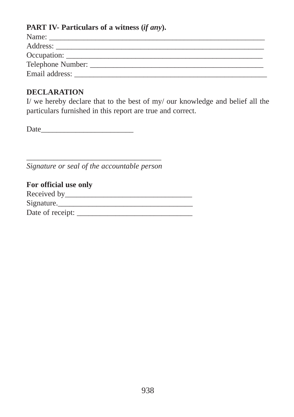## **PART IV- Particulars of a witness (***if any***).**

| Name:                          |
|--------------------------------|
|                                |
| Occupation:                    |
| Telephone Number: ____________ |
|                                |
|                                |

#### **DECLARATION**

I/ we hereby declare that to the best of my/ our knowledge and belief all the particulars furnished in this report are true and correct.

Date\_\_\_\_\_\_\_\_\_\_\_\_\_\_\_\_\_\_\_\_\_\_\_\_

\_\_\_\_\_\_\_\_\_\_\_\_\_\_\_\_\_\_\_\_\_\_\_\_\_\_\_\_\_\_\_\_\_\_\_ *Signature or seal of the accountable person*

| For official use only |  |
|-----------------------|--|
| Received by           |  |
| Signature.            |  |
| Date of receipt:      |  |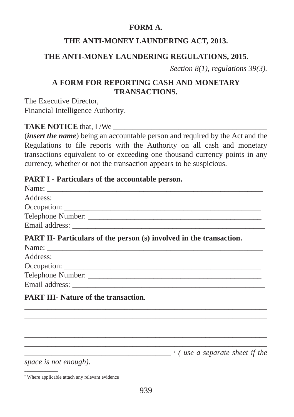#### **FORM A.**

## **THE ANTI-MONEY LAUNDERING ACT, 2013.**

## **THE ANTI-MONEY LAUNDERING REGULATIONS, 2015.**

*Section 8(1), regulations 39(3).*

# **A FORM FOR REPORTING CASH AND MONETARY TRANSACTIONS.**

The Executive Director, Financial Intelligence Authority.

## **TAKE NOTICE** that, I /We

(*insert the name*) being an accountable person and required by the Act and the Regulations to file reports with the Authority on all cash and monetary transactions equivalent to or exceeding one thousand currency points in any currency, whether or not the transaction appears to be suspicious.

#### **PART I - Particulars of the accountable person.**

| PART II- Particulars of the person (s) involved in the transaction. |  |
|---------------------------------------------------------------------|--|
|                                                                     |  |
|                                                                     |  |
|                                                                     |  |
|                                                                     |  |
|                                                                     |  |

\_\_\_\_\_\_\_\_\_\_\_\_\_\_\_\_\_\_\_\_\_\_\_\_\_\_\_\_\_\_\_\_\_\_\_\_\_\_\_\_\_\_\_\_\_\_\_\_\_\_\_\_\_\_\_\_\_\_\_\_\_\_\_ \_\_\_\_\_\_\_\_\_\_\_\_\_\_\_\_\_\_\_\_\_\_\_\_\_\_\_\_\_\_\_\_\_\_\_\_\_\_\_\_\_\_\_\_\_\_\_\_\_\_\_\_\_\_\_\_\_\_\_\_\_\_\_ \_\_\_\_\_\_\_\_\_\_\_\_\_\_\_\_\_\_\_\_\_\_\_\_\_\_\_\_\_\_\_\_\_\_\_\_\_\_\_\_\_\_\_\_\_\_\_\_\_\_\_\_\_\_\_\_\_\_\_\_\_\_\_ \_\_\_\_\_\_\_\_\_\_\_\_\_\_\_\_\_\_\_\_\_\_\_\_\_\_\_\_\_\_\_\_\_\_\_\_\_\_\_\_\_\_\_\_\_\_\_\_\_\_\_\_\_\_\_\_\_\_\_\_\_\_\_ \_\_\_\_\_\_\_\_\_\_\_\_\_\_\_\_\_\_\_\_\_\_\_\_\_\_\_\_\_\_\_\_\_\_\_\_\_\_\_\_\_\_\_\_\_\_\_\_\_\_\_\_\_\_\_\_\_\_\_\_\_\_\_

## **PART III- Nature of the transaction**.

\_\_\_\_\_\_\_\_\_\_\_\_\_\_\_\_\_\_\_\_\_\_\_\_\_\_\_\_\_\_\_\_\_\_\_\_\_\_ 2 *( use a separate sheet if the*

*space is not enough).*

 $\overline{\phantom{a}}$  , where the contract of  $\overline{\phantom{a}}$ 

<sup>2</sup> Where applicable attach any relevant evidence